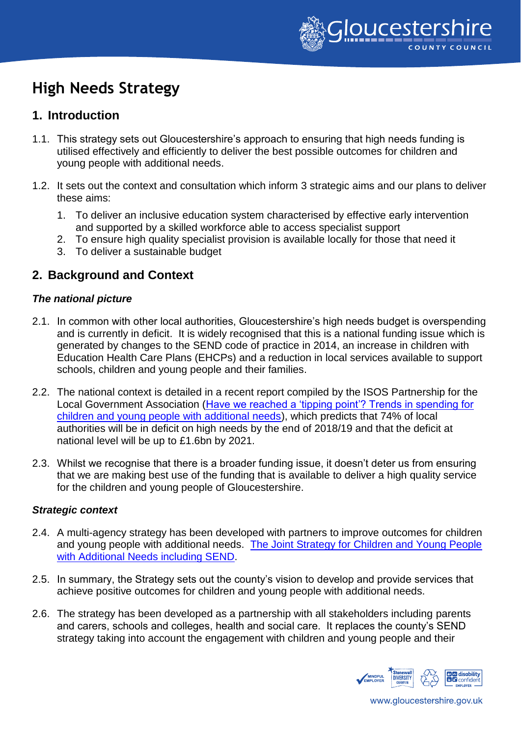

# **High Needs Strategy**

# **1. Introduction**

- 1.1. This strategy sets out Gloucestershire's approach to ensuring that high needs funding is utilised effectively and efficiently to deliver the best possible outcomes for children and young people with additional needs.
- 1.2. It sets out the context and consultation which inform 3 strategic aims and our plans to deliver these aims:
	- 1. To deliver an inclusive education system characterised by effective early intervention and supported by a skilled workforce able to access specialist support
	- 2. To ensure high quality specialist provision is available locally for those that need it
	- 3. To deliver a sustainable budget

# **2. Background and Context**

## *The national picture*

- 2.1. In common with other local authorities, Gloucestershire's high needs budget is overspending and is currently in deficit. It is widely recognised that this is a national funding issue which is generated by changes to the SEND code of practice in 2014, an increase in children with Education Health Care Plans (EHCPs) and a reduction in local services available to support schools, children and young people and their families.
- 2.2. The national context is detailed in a recent report compiled by the ISOS Partnership for the Local Government Association [\(Have we reached a 'tipping point'? Trends in spending for](http://www.isospartnership.com/uploads/files/LGA%20HN%20report%20corrected%2020.12.18.pdf)  [children and young people with additional needs\)](http://www.isospartnership.com/uploads/files/LGA%20HN%20report%20corrected%2020.12.18.pdf), which predicts that 74% of local authorities will be in deficit on high needs by the end of 2018/19 and that the deficit at national level will be up to £1.6bn by 2021.
- 2.3. Whilst we recognise that there is a broader funding issue, it doesn't deter us from ensuring that we are making best use of the funding that is available to deliver a high quality service for the children and young people of Gloucestershire.

## *Strategic context*

- 2.4. A multi-agency strategy has been developed with partners to improve outcomes for children and young people with additional needs. [The Joint Strategy for Children and Young People](file:///C:/Users/PHaslett/AppData/Local/Microsoft/Windows/Temporary%20Internet%20Files/Content.Outlook/95JKJMCQ/The%20Joint%20Strategy%20for%20Children%20and%20Young%20People%20with%20Additional%20Needs%20including%20SEND)  [with Additional Needs including SEND.](file:///C:/Users/PHaslett/AppData/Local/Microsoft/Windows/Temporary%20Internet%20Files/Content.Outlook/95JKJMCQ/The%20Joint%20Strategy%20for%20Children%20and%20Young%20People%20with%20Additional%20Needs%20including%20SEND)
- 2.5. In summary, the Strategy sets out the county's vision to develop and provide services that achieve positive outcomes for children and young people with additional needs.
- 2.6. The strategy has been developed as a partnership with all stakeholders including parents and carers, schools and colleges, health and social care. It replaces the county's SEND strategy taking into account the engagement with children and young people and their

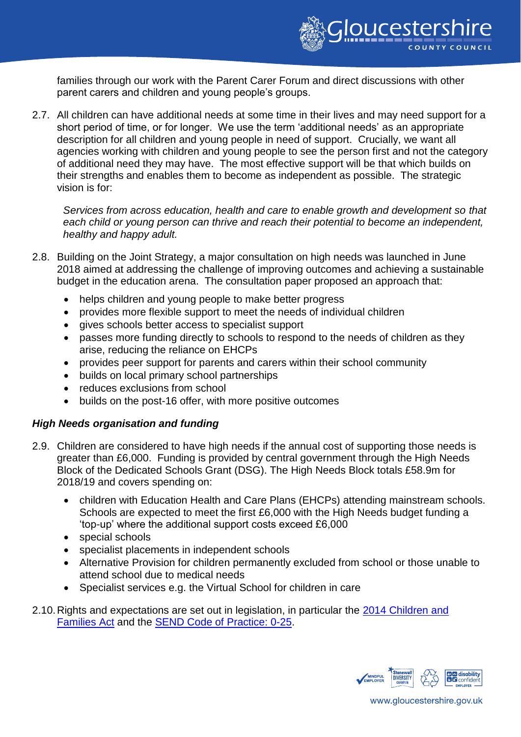

families through our work with the Parent Carer Forum and direct discussions with other parent carers and children and young people's groups.

2.7. All children can have additional needs at some time in their lives and may need support for a short period of time, or for longer. We use the term 'additional needs' as an appropriate description for all children and young people in need of support. Crucially, we want all agencies working with children and young people to see the person first and not the category of additional need they may have. The most effective support will be that which builds on their strengths and enables them to become as independent as possible. The strategic vision is for:

*Services from across education, health and care to enable growth and development so that each child or young person can thrive and reach their potential to become an independent, healthy and happy adult.*

- 2.8. Building on the Joint Strategy, a major consultation on high needs was launched in June 2018 aimed at addressing the challenge of improving outcomes and achieving a sustainable budget in the education arena. The consultation paper proposed an approach that:
	- helps children and young people to make better progress
	- provides more flexible support to meet the needs of individual children
	- gives schools better access to specialist support
	- passes more funding directly to schools to respond to the needs of children as they arise, reducing the reliance on EHCPs
	- provides peer support for parents and carers within their school community
	- builds on local primary school partnerships
	- reduces exclusions from school
	- builds on the post-16 offer, with more positive outcomes

#### *High Needs organisation and funding*

- 2.9. Children are considered to have high needs if the annual cost of supporting those needs is greater than £6,000. Funding is provided by central government through the High Needs Block of the Dedicated Schools Grant (DSG). The High Needs Block totals £58.9m for 2018/19 and covers spending on:
	- children with Education Health and Care Plans (EHCPs) attending mainstream schools. Schools are expected to meet the first £6,000 with the High Needs budget funding a 'top-up' where the additional support costs exceed £6,000
	- special schools
	- specialist placements in independent schools
	- Alternative Provision for children permanently excluded from school or those unable to attend school due to medical needs
	- Specialist services e.g. the Virtual School for children in care
- 2.10. Rights and expectations are set out in legislation, in particular the [2014 Children](http://www.legislation.gov.uk/ukpga/2014/6/contents/enacted) and [Families Act](http://www.legislation.gov.uk/ukpga/2014/6/contents/enacted) and the [SEND Code of Practice: 0-25.](https://assets.publishing.service.gov.uk/government/uploads/system/uploads/attachment_data/file/398815/SEND_Code_of_Practice_January_2015.pdf)

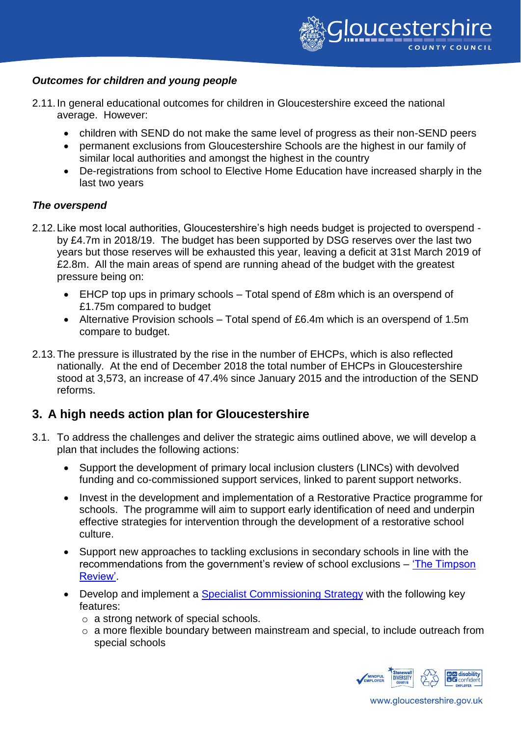

### *Outcomes for children and young people*

- 2.11.In general educational outcomes for children in Gloucestershire exceed the national average. However:
	- children with SEND do not make the same level of progress as their non-SEND peers
	- permanent exclusions from Gloucestershire Schools are the highest in our family of similar local authorities and amongst the highest in the country
	- De-registrations from school to Elective Home Education have increased sharply in the last two years

## *The overspend*

- 2.12.Like most local authorities, Gloucestershire's high needs budget is projected to overspend by £4.7m in 2018/19. The budget has been supported by DSG reserves over the last two years but those reserves will be exhausted this year, leaving a deficit at 31st March 2019 of £2.8m. All the main areas of spend are running ahead of the budget with the greatest pressure being on:
	- EHCP top ups in primary schools Total spend of £8m which is an overspend of £1.75m compared to budget
	- Alternative Provision schools Total spend of £6.4m which is an overspend of 1.5m compare to budget.
- 2.13.The pressure is illustrated by the rise in the number of EHCPs, which is also reflected nationally. At the end of December 2018 the total number of EHCPs in Gloucestershire stood at 3,573, an increase of 47.4% since January 2015 and the introduction of the SEND reforms.

# **3. A high needs action plan for Gloucestershire**

- 3.1. To address the challenges and deliver the strategic aims outlined above, we will develop a plan that includes the following actions:
	- Support the development of primary local inclusion clusters (LINCs) with devolved funding and co-commissioned support services, linked to parent support networks.
	- Invest in the development and implementation of a Restorative Practice programme for schools. The programme will aim to support early identification of need and underpin effective strategies for intervention through the development of a restorative school culture.
	- Support new approaches to tackling exclusions in secondary schools in line with the recommendations from the government's review of school exclusions – ['The Timpson](https://www.gov.uk/government/consultations/school-exclusions-review-call-for-evidence)  [Review'.](https://www.gov.uk/government/consultations/school-exclusions-review-call-for-evidence)
	- Develop and implement a [Specialist Commissioning Strategy](https://www.gloucestershire.gov.uk/education-and-learning/special-educational-needs-and-disability-send/send-commissioning-strategy/) with the following key features:
		- o a strong network of special schools.
		- o a more flexible boundary between mainstream and special, to include outreach from special schools